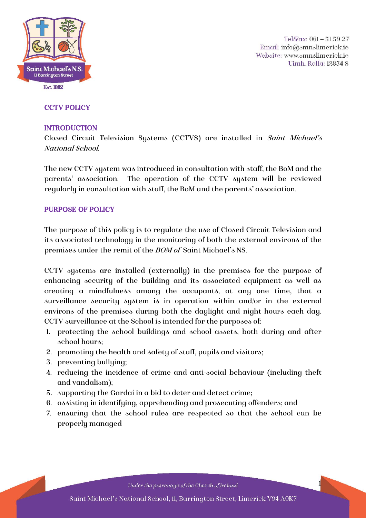

Tel/Fax: 061 - 31 59 27 Email: info@smnslimerick.ie Website: www.smnslimerick.ie Uimh. Rolla: 12834 S

1

# **CCTV POLICY**

### INTRODUCTION

Closed Circuit Television Systems (CCTVS) are installed in Saint Michael's National School.

The new CCTV system was introduced in consultation with staff, the BoM and the parents' association. The operation of the CCTV system will be reviewed regularly in consultation with staff, the BoM and the parents' association.

#### PURPOSE OF POLICY

The purpose of this policy is to regulate the use of Closed Circuit Television and its associated technology in the monitoring of both the external environs of the premises under the remit of the BOM of Saint Michael's NS.

CCTV systems are installed (externally) in the premises for the purpose of enhancing security of the building and its associated equipment as well as creating a mindfulness among the occupants, at any one time, that a surveillance security system is in operation within and/or in the external environs of the premises during both the daylight and night hours each day. CCTV surveillance at the School is intended for the purposes of:

- 1. protecting the school buildings and school assets, both during and after school hours;
- 2. promoting the health and safety of staff, pupils and visitors;
- 3. preventing bullying;
- 4. reducing the incidence of crime and anti-social behaviour (including theft and vandalism);
- 5. supporting the Gardaí in a bid to deter and detect crime;
- 6. assisting in identifying, apprehending and prosecuting offenders; and
- 7. ensuring that the school rules are respected so that the school can be properly managed

Under the patronage of the Church of Ireland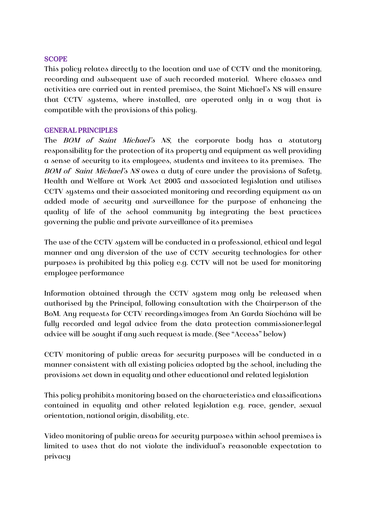#### **SCOPE**

This policy relates directly to the location and use of CCTV and the monitoring, recording and subsequent use of such recorded material. Where classes and activities are carried out in rented premises, the Saint Michael's NS will ensure that CCTV systems, where installed, are operated only in a way that is compatible with the provisions of this policy.

#### GENERAL PRINCIPLES

The *BOM of Saint Michael's NS*, the corporate body has a statutory responsibility for the protection of its property and equipment as well providing a sense of security to its employees, students and invitees to its premises. The BOM of Saint Michael's NS owes a duty of care under the provisions of Safety, Health and Welfare at Work Act 2005 and associated legislation and utilises CCTV systems and their associated monitoring and recording equipment as an added mode of security and surveillance for the purpose of enhancing the quality of life of the school community by integrating the best practices governing the public and private surveillance of its premises

The use of the CCTV system will be conducted in a professional, ethical and legal manner and any diversion of the use of CCTV security technologies for other purposes is prohibited by this policy e.g. CCTV will not be used for monitoring employee performance

Information obtained through the CCTV system may only be released when authorised by the Principal, following consultation with the Chairperson of the BoM. Any requests for CCTV recordings/images from An Garda Síochána will be fully recorded and legal advice from the data protection commissioner/legal advice will be sought if any such request is made. (See "Access" below)

CCTV monitoring of public areas for security purposes will be conducted in a manner consistent with all existing policies adopted by the school, including the provisions set down in equality and other educational and related legislation

This policy prohibits monitoring based on the characteristics and classifications contained in equality and other related legislation e.g. race, gender, sexual orientation, national origin, disability, etc.

Video monitoring of public areas for security purposes within school premises is limited to uses that do not violate the individual's reasonable expectation to privacy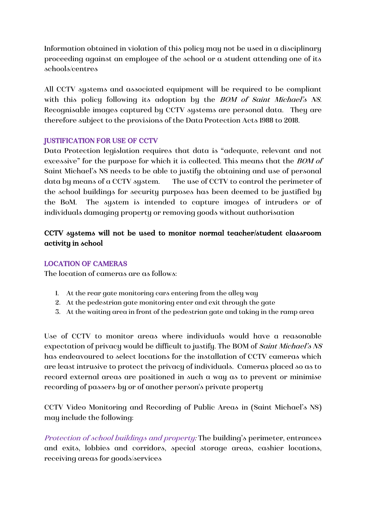Information obtained in violation of this policy may not be used in a disciplinary proceeding against an employee of the school or a student attending one of its schools/centres

All CCTV systems and associated equipment will be required to be compliant with this policy following its adoption by the *BOM of Saint Michael's NS*. Recognisable images captured by CCTV systems are [personal data.](http://www.dataprotection.ie/viewdoc.asp?m=m&fn=/documents/guidance/310604.htm) They are therefore subject to the provisions of the [Data Protection Acts](http://www.dataprotection.ie/viewdoc.asp?DocID=796&ad=1) 1988 to 2018.

# JUSTIFICATION FOR USE OF CCTV

Data Protection legislation requires that data is "adequate, relevant and not excessive" for the purpose for which it is collected. This means that the *BOM* of Saint Michael's NS needs to be able to justify the obtaining and use of personal data by means of a CCTV system. The use of CCTV to control the perimeter of the school buildings for security purposes has been deemed to be justified by the BoM. The system is intended to capture images of intruders or of individuals damaging property or removing goods without authorisation

# CCTV systems will not be used to monitor normal teacher/student classroom activity in school

# LOCATION OF CAMERAS

The location of cameras are as follows:

- 1. At the rear gate monitoring cars entering from the alley way
- 2. At the pedestrian gate monitoring enter and exit through the gate
- 3. At the waiting area in front of the pedestrian gate and taking in the ramp area

Use of CCTV to monitor areas where individuals would have a reasonable expectation of privacy would be difficult to justify. The BOM of Saint Michael's NS has endeavoured to select locations for the installation of CCTV cameras which are least intrusive to protect the privacy of individuals. Cameras placed so as to record external areas are positioned in such a way as to prevent or minimise recording of passers-by or of another person's private property

CCTV Video Monitoring and Recording of Public Areas in (Saint Michael's NS) may include the following:

Protection of school buildings and property: The building's perimeter, entrances and exits, lobbies and corridors, special storage areas, cashier locations, receiving areas for goods/services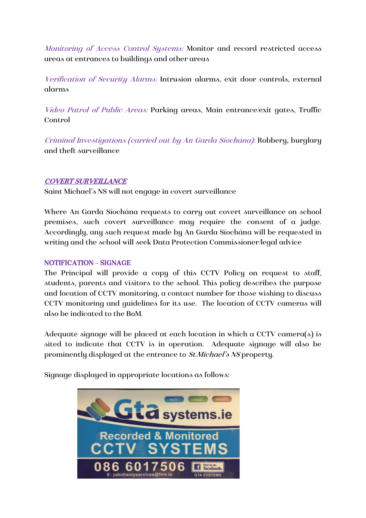Monitoring of Access Control Systems: Monitor and record restricted access areas at entrances to buildings and other areas

Verification of Security Alarms: Intrusion alarms, exit door controls, external alarms

Video Patrol of Public Areas: Parking areas, Main entrance/exit gates, Traffic Control

Criminal Investigations (carried out by An Garda Síochána): Robbery, burglary and theft surveillance

# COVERT SURVEILLANCE

Saint Michael's NS will not engage in covert surveillance

Where An Garda Síochána requests to carry out covert surveillance on school premises, such covert surveillance may require the consent of a judge. Accordingly, any such request made by An Garda Síochána will be requested in writing and the school will seek Data Protection Commissioner/legal advice

# NOTIFICATION – SIGNAGE

The Principal will provide a copy of this CCTV Policy on request to staff, students, parents and visitors to the school. This policy describes the purpose and location of CCTV monitoring, a contact number for those wishing to discuss CCTV monitoring and guidelines for its use. The location of CCTV cameras will also be indicated to the BoM.

Adequate signage will be placed at each location in which a CCTV camera(s) is sited to indicate that CCTV is in operation. Adequate signage will also be prominently displayed at the entrance to *St.Michael's NS* property.

Signage displayed in appropriate locations as follows:

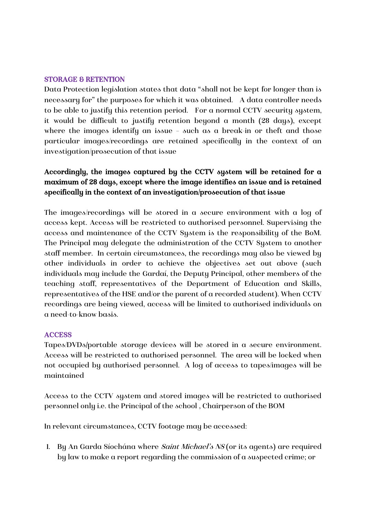#### STORAGE & RETENTION

Data Protection legislation states that data "shall not be kept for longer than is necessary for" the purposes for which it was obtained. A data controller needs to be able to justify this retention period. For a normal CCTV security system, it would be difficult to justify retention beyond a month (28 days), except where the images identify an issue – such as a break-in or theft and those particular images/recordings are retained specifically in the context of an investigation/prosecution of that issue

# Accordingly, the images captured by the CCTV system will be retained for a maximum of 28 days, except where the image identifies an issue and is retained specifically in the context of an investigation/prosecution of that issue

The images/recordings will be stored in a secure environment with a log of access kept. Access will be restricted to authorised personnel. Supervising the access and maintenance of the CCTV System is the responsibility of the BoM. The Principal may delegate the administration of the CCTV System to another staff member. In certain circumstances, the recordings may also be viewed by other individuals in order to achieve the objectives set out above (such individuals may include the Gardaí, the Deputy Principal, other members of the teaching staff, representatives of the Department of Education and Skills, representatives of the HSE and/or the parent of a recorded student). When CCTV recordings are being viewed, access will be limited to authorised individuals on a need-to-know basis.

#### **ACCESS**

Tapes/DVDs/portable storage devices will be stored in a secure environment. Access will be restricted to authorised personnel. The area will be locked when not occupied by authorised personnel. A log of access to tapes/images will be maintained

Access to the CCTV system and stored images will be restricted to authorised personnel only i.e. the Principal of the school , Chairperson of the BOM

In relevant circumstances, CCTV footage may be accessed:

1. By An Garda Síochána where *Saint Michael's NS* (or its agents) are required by law to make a report regarding the commission of a suspected crime; or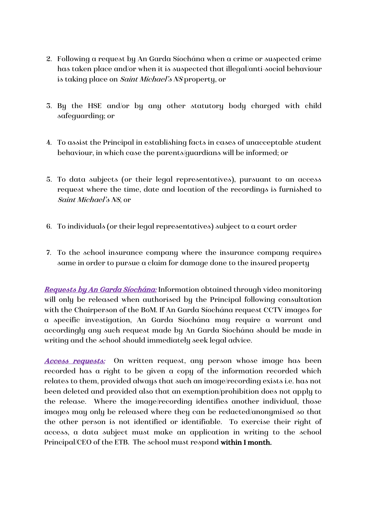- 2. Following a request by An Garda Síochána when a crime or suspected crime has taken place and/or when it is suspected that illegal/anti-social behaviour is taking place on *Saint Michael's NS* property, or
- 3. By the HSE and/or by any other statutory body charged with child safeguarding; or
- 4. To assist the Principal in establishing facts in cases of unacceptable student behaviour, in which case the parents/guardians will be informed; or
- 5. To data subjects (or their legal representatives), pursuant to an access request where the time, date and location of the recordings is furnished to Saint Michael's NS, or
- 6. To individuals (or their legal representatives) subject to a court order
- 7. To the school insurance company where the insurance company requires same in order to pursue a claim for damage done to the insured property

Requests by An Garda Síochána: Information obtained through video monitoring will only be released when authorised by the Principal following consultation with the Chairperson of the BoM. If An Garda Síochána request CCTV images for a specific investigation, An Garda Síochána may require a warrant and accordingly any such request made by An Garda Síochána should be made in writing and the school should immediately seek legal advice.

Access requests: On written request, any person whose image has been recorded has a right to be given a copy of the information recorded which relates to them, provided always that such an image/recording exists i.e. has not been deleted and provided also that an exemption/prohibition does not apply to the release. Where the image/recording identifies another individual, those images may only be released where they can be redacted/anonymised so that the other person is not identified or identifiable. To exercise their right of access, a data subject must make an application in writing to the school Principal/CEO of the ETB. The school must respond within 1 month.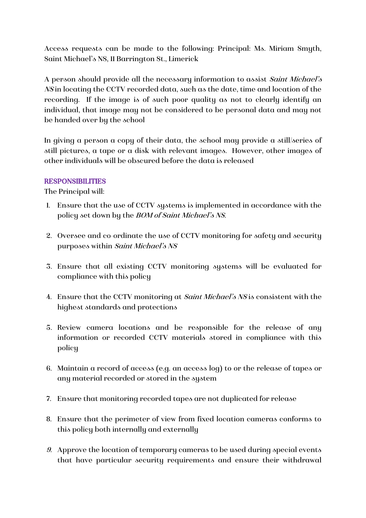Access requests can be made to the following: Principal: Ms. Miriam Smyth, Saint Michael's NS, 11 Barrington St., Limerick

A person should provide all the necessary information to assist Saint Michael's NS in locating the CCTV recorded data, such as the date, time and location of the recording. If the image is of such poor quality as not to clearly identify an individual, that image may not be considered to be personal data and may not be handed over by the school

In giving a person a copy of their data, the school may provide a still/series of still pictures, a tape or a disk with relevant images. However, other images of other individuals will be obscured before the data is released

#### RESPONSIBILITIES

The Principal will:

- 1. Ensure that the use of CCTV systems is implemented in accordance with the policy set down by the BOM of Saint Michael's NS.
- 2. Oversee and co-ordinate the use of CCTV monitoring for safety and security purposes within Saint Michael's NS
- 3. Ensure that all existing CCTV monitoring systems will be evaluated for compliance with this policy
- 4. Ensure that the CCTV monitoring at Saint Michael's NS is consistent with the highest standards and protections
- 5. Review camera locations and be responsible for the release of any information or recorded CCTV materials stored in compliance with this policy
- 6. Maintain a record of access (e.g. an access log) to or the release of tapes or any material recorded or stored in the system
- 7. Ensure that monitoring recorded tapes are not duplicated for release
- 8. Ensure that the perimeter of view from fixed location cameras conforms to this policy both internally and externally
- 9. Approve the location of temporary cameras to be used during special events that have particular security requirements and ensure their withdrawal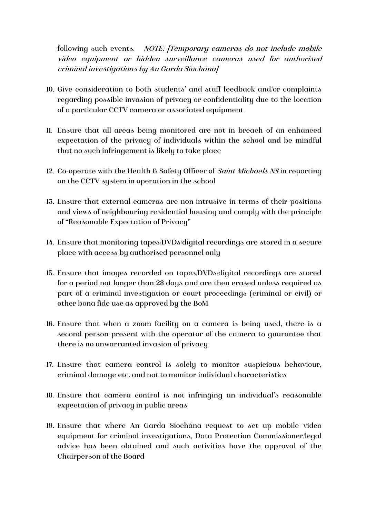following such events. NOTE: [Temporary cameras do not include mobile video equipment or hidden surveillance cameras used for authorised criminal investigations by An Garda Síochána]

- 10. Give consideration to both students' and staff feedback and/or complaints regarding possible invasion of privacy or confidentiality due to the location of a particular CCTV camera or associated equipment
- 11. Ensure that all areas being monitored are not in breach of an enhanced expectation of the privacy of individuals within the school and be mindful that no such infringement is likely to take place
- 12. Co-operate with the Health & Safety Officer of Saint Michaels NS in reporting on the CCTV system in operation in the school
- 13. Ensure that external cameras are non-intrusive in terms of their positions and views of neighbouring residential housing and comply with the principle of "Reasonable Expectation of Privacy"
- 14. Ensure that monitoring tapes/DVDs/digital recordings are stored in a secure place with access by authorised personnel only
- 15. Ensure that images recorded on tapes/DVDs/digital recordings are stored for a period not longer than 28 days and are then erased unless required as part of a criminal investigation or court proceedings (criminal or civil) or other bona fide use as approved by the BoM
- 16. Ensure that when a zoom facility on a camera is being used, there is a second person present with the operator of the camera to guarantee that there is no unwarranted invasion of privacy
- 17. Ensure that camera control is solely to monitor suspicious behaviour, criminal damage etc. and not to monitor individual characteristics
- 18. Ensure that camera control is not infringing an individual's reasonable expectation of privacy in public areas
- 19. Ensure that where An Garda Síochána request to set up mobile video equipment for criminal investigations, Data Protection Commissioner/legal advice has been obtained and such activities have the approval of the Chairperson of the Board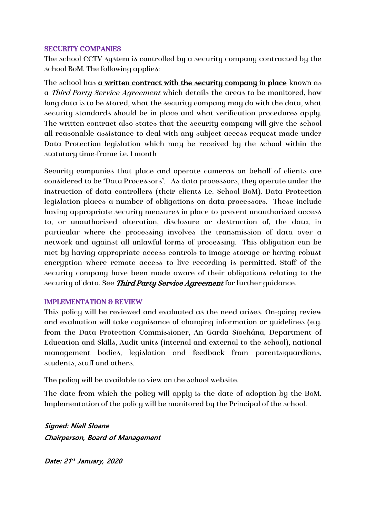#### SECURITY COMPANIES

The school CCTV system is controlled by a security company contracted by the school BoM. The following applies:

The school has **a written contract with the security company in place** known as a Third Party Service Agreement which details the areas to be monitored, how long data is to be stored, what the security company may do with the data, what security standards should be in place and what verification procedures apply. The written contract also states that the security company will give the school all reasonable assistance to deal with any subject access request made under Data Protection legislation which may be received by the school within the statutory time-frame i.e. 1 month

Security companies that place and operate cameras on behalf of clients are considered to be 'Data Processors'. As data processors, they operate under the instruction of data controllers (their clients i.e. School BoM). Data Protection legislation places a number of obligations on data processors. These include having appropriate security measures in place to prevent unauthorised access to, or unauthorised alteration, disclosure or destruction of, the data, in particular where the processing involves the transmission of data over a network and against all unlawful forms of processing. This obligation can be met by having appropriate access controls to image storage or having robust encryption where remote access to live recording is permitted. Staff of the security company have been made aware of their obligations relating to the security of data. See Third Party Service Agreement for further guidance.

# IMPLEMENTATION & REVIEW

This policy will be reviewed and evaluated as the need arises. On-going review and evaluation will take cognisance of changing information or guidelines (e.g. from the Data Protection Commissioner, An Garda Síochána, Department of Education and Skills, Audit units (internal and external to the school), national management bodies, legislation and feedback from parents/guardians, students, staff and others.

The policy will be available to view on the school website.

The date from which the policy will apply is the date of adoption by the BoM. Implementation of the policy will be monitored by the Principal of the school.

**Signed: Niall Sloane Chairperson, Board of Management** 

**Date: 21 st January, 2020**